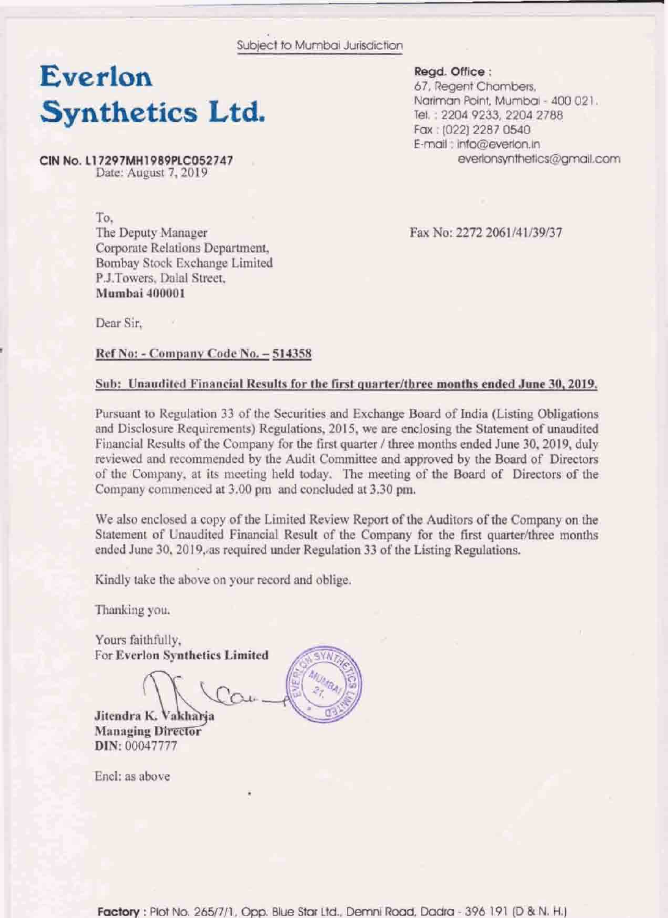Subject to Mumbai Jurisdiction

## Everlon Synthetics Ltd.

CIN No. L17297MH1989PLC052747 Date: August 7, 2019

> To. The Deputy Manager Corporate Relations Department, Bombay Stock Exchange Limited P.J.Towers, Dalal Street, Mumbai 400001

Fax No: 2272 2061/41/39/37

Read. Office:

67, Regent Chambers,

Tel.: 2204 9233, 2204 2788 Fax: (022) 2287 0540 E-mail: info@everlon.in

Nariman Point, Mumbai - 400 021.

everlonsynthetics@amail.com

Dear Sir,

Ref No: - Company Code No. - 514358

#### Sub: Unaudited Financial Results for the first quarter/three months ended June 30, 2019.

Pursuant to Regulation 33 of the Securities and Exchange Board of India (Listing Obligations and Disclosure Requirements) Regulations, 2015, we are enclosing the Statement of unaudited Financial Results of the Company for the first quarter / three months ended June 30, 2019, duly reviewed and recommended by the Audit Committee and approved by the Board of Directors of the Company, at its meeting held today. The meeting of the Board of Directors of the Company commenced at 3.00 pm and concluded at 3.30 pm.

We also enclosed a copy of the Limited Review Report of the Auditors of the Company on the Statement of Unaudited Financial Result of the Company for the first quarter/three months ended June 30, 2019, as required under Regulation 33 of the Listing Regulations.

Kindly take the above on your record and oblige.

Thanking you.

Yours faithfully, For Everlon Synthetics Limited

Jitendra K. Vakharia **Managing Director** DIN: 00047777

Encl: as above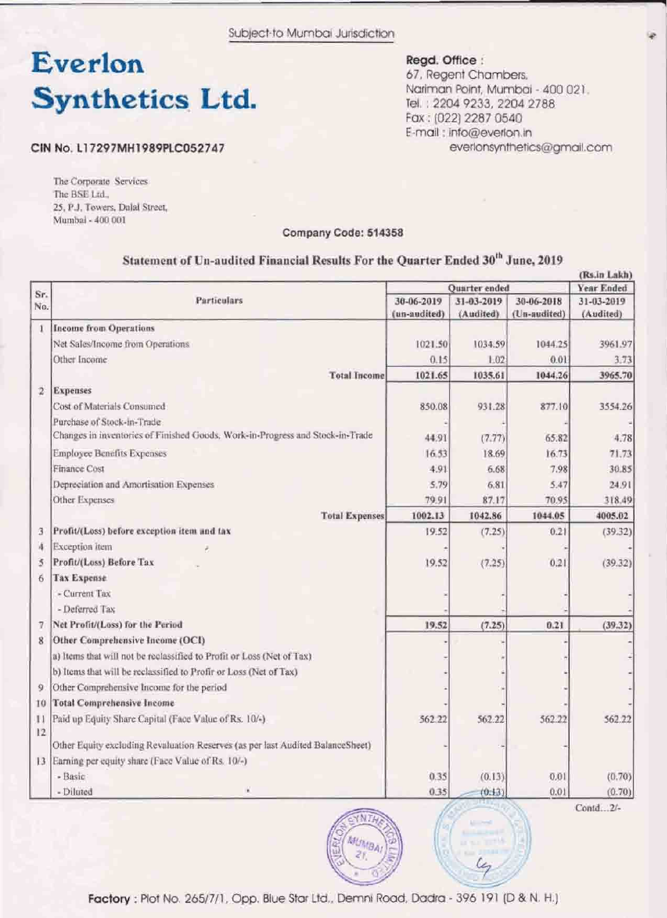Subject to Mumbai Jurisdiction

# Everlon **Synthetics Ltd.**

Regd. Office :

67, Regent Chambers, Nariman Point, Mumbai - 400 021. Tel.: 2204 9233, 2204 2788 Fax: (022) 2287 0540 E-mail ; info@everlon.in everlonsynthetics@gmail.com

#### CIN No. L17297MH1989PLC052747

The Corporate Services The BSE Ltd. 25, P.J. Towers, Dalal Street, Mumbal - 400 001

#### Company Code: 514358

### Statement of Un-audited Financial Results For the Quarter Ended 30<sup>th</sup> June, 2019

|              |                                                                                |                      |            |              | (Rs.in Lakh) |  |
|--------------|--------------------------------------------------------------------------------|----------------------|------------|--------------|--------------|--|
| Sr.<br>No.   | Particulars                                                                    | <b>Ouarter</b> ended |            |              | Year Ended   |  |
|              |                                                                                | 30-06-2019           | 31-03-2019 | 30-06-2018   | 31-03-2019   |  |
|              |                                                                                | (un-audited)         | (Audited)  | (Un-audited) | (Audited)    |  |
| $\mathbf{1}$ | <b>Income from Operations</b>                                                  |                      |            |              |              |  |
|              | Net Sales/Income from Operations                                               | 1021.50              | 1034.59    | 1044.25      | 3961.97      |  |
|              | Other Income                                                                   | 0.15                 | 1.02       | 0.01         | 3.73         |  |
|              | <b>Total Income</b>                                                            | 1021.65              | 1035.61    | 1044.26      | 3965.70      |  |
| $\mathbf{2}$ | <b>Expenses</b>                                                                |                      |            |              |              |  |
|              | Cost of Materials Consumed                                                     | 850.08               | 931.28     | 877.10       | 3554.26      |  |
|              | Purchase of Stock-in-Trade                                                     |                      |            |              |              |  |
|              | Changes in inventories of Finished Goods, Work-in-Progress and Stock-in-Trade  | 44.91                | (7.77)     | 65.82        | 4.78         |  |
|              | <b>Employee Benefits Expenses</b>                                              | 16.53                | 18.69      | 16.73        | 71.73        |  |
|              | Finance Cost                                                                   | 4.91                 | 6.68       | 7.98         | 30.85        |  |
|              | Depreciation and Amortisation Expenses                                         | 5.79                 | 6.81       | 5.47         | 24.91        |  |
|              | Other Expenses                                                                 | 79.91                | 87.17      | 70.95        | 318.49       |  |
|              | <b>Total Expenses</b>                                                          | 1002.13              | 1042.86    | 1044.05      | 4005.02      |  |
| з            | Profit/(Loss) before exception item and tax                                    | 19:52                | (7.25)     | 0.21         | (39.32)      |  |
| Æ.           | Exception Item                                                                 |                      |            |              |              |  |
| 5            | Profit/(Loss) Before Tax                                                       | 19.52                | (7.25)     | 0.21         | (39.32)      |  |
| 6            | <b>Tax Expense</b>                                                             |                      |            |              |              |  |
|              | - Current Tax                                                                  |                      |            |              |              |  |
|              | - Deferred Tax                                                                 |                      |            |              |              |  |
| 7            | Net Profit/(Loss) for the Period                                               | 19.52                | (7.25)     | 0.21         | (39.32)      |  |
| 8            | Other Comprehensive Income (OCI)                                               |                      |            |              |              |  |
|              | a) Items that will not be reclassified to Profit or Loss (Net of Tax)          |                      |            |              |              |  |
|              | b) Items that will be reclassified to Profir or Loss (Net of Tax)              |                      |            |              |              |  |
| 9            | Other Comprehensive Income for the period                                      |                      |            |              |              |  |
| 10           | <b>Total Comprehensive Income</b>                                              |                      |            |              |              |  |
| П            | Paid up Equity Share Capital (Face Value of Rs. 10/-)                          | 562.22               | 562.22     | 562.22       | 562.22       |  |
| 12           |                                                                                |                      |            |              |              |  |
|              | Other Equity excluding Revaluation Reserves (as per last Audited BalanceSheet) |                      |            |              |              |  |
|              | 13 Earning per equity share (Face Value of Rs. 10/-)                           |                      |            |              |              |  |
|              | - Basic                                                                        | 0.35                 | (0.13)     | 0.01         | (0.70)       |  |
|              | - Diluted                                                                      | 0.35                 | (0.13)     | 0.01         | (0.70)       |  |



Contd...2/-

les

Factory: Plot No. 265/7/1, Opp. Blue Star Ltd., Demni Road, Dadra - 396 191 (D & N. H.)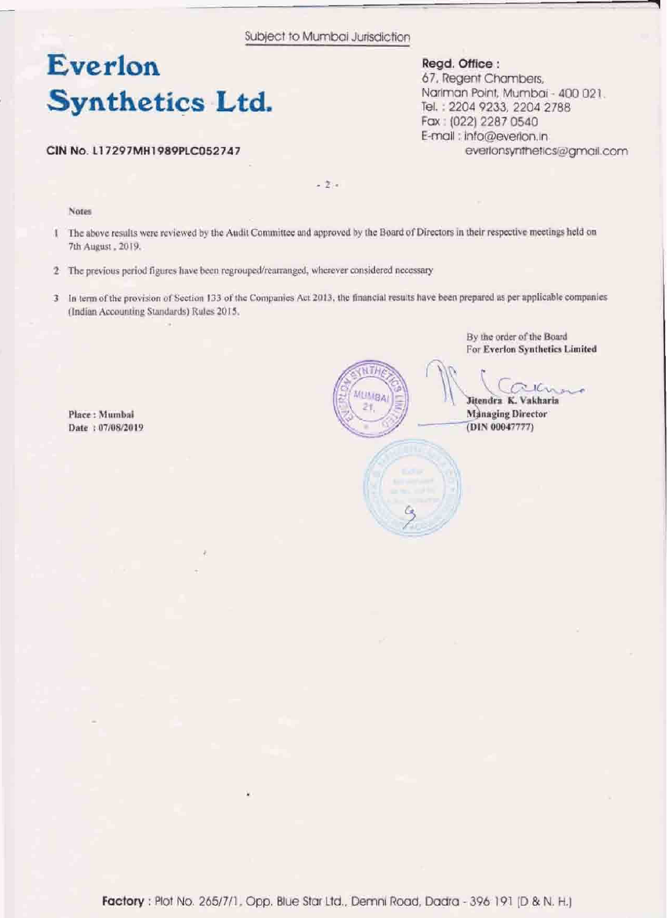Subject to Mumbai Jurisdiction

## **Everlon Synthetics Ltd.**

**CIN Fda. Ll7297M)rl989PLC052747** 

**Regd. Office:** 

**67, Regent Chambers,** Nariman Point, Mumbai - 400 021. **Td,** : **<sup>2204</sup>9233,220a <sup>2788</sup> Fax** : **(022) 2287 0540**  €-malt ; **infu@evehn.ln**  everlonsynthetics@gmail.com

 $-2 -$ 

Notes

- The above results were reviewed by the Audit Committee and approved by the Board of Directors in their respective meetings held on T 7th August, 2019.
- 2 The previous period figures have been regrouped/rearranged, wherever considered necessary
- 3 In term of the provision of Section 133 of the Companies Act 2013, the financial results have been prepared as per applicable companies (Indian Accounting Standards) Rules 2015.

Place: Mumbai Date: 07/08/2019



By the order of the Board For Everlon Synthetics Limited

Jitendra K. Vakharia **Managing Director** (DIN 00047777)